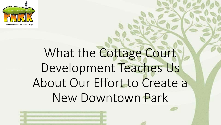

# What the Cottage Court Development Teaches Us About Our Effort to Create a New Downtown Park

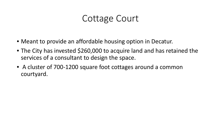### Cottage Court

- Meant to provide an affordable housing option in Decatur.
- The City has invested \$260,000 to acquire land and has retained the services of a consultant to design the space.
- A cluster of 700-1200 square foot cottages around a common courtyard.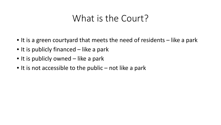### What is the Court?

- It is a green courtyard that meets the need of residents like a park
- It is publicly financed like a park
- It is publicly owned like a park
- It is not accessible to the public not like a park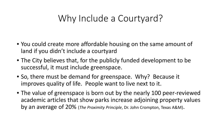## Why Include a Courtyard?

- You could create more affordable housing on the same amount of land if you didn't include a courtyard
- The City believes that, for the publicly funded development to be successful, it must include greenspace.
- So, there must be demand for greenspace. Why? Because it improves quality of life. People want to live next to it.
- The value of greenspace is born out by the nearly 100 peer-reviewed academic articles that show parks increase adjoining property values by an average of 20% (*The Proximity Principle*, Dr. John Crompton, Texas A&M).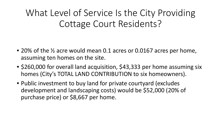What Level of Service Is the City Providing Cottage Court Residents?

- 20% of the ½ acre would mean 0.1 acres or 0.0167 acres per home, assuming ten homes on the site.
- \$260,000 for overall land acquisition, \$43,333 per home assuming six homes (City's TOTAL LAND CONTRIBUTION to six homeowners).
- Public investment to buy land for private courtyard (excludes development and landscaping costs) would be \$52,000 (20% of purchase price) or \$8,667 per home.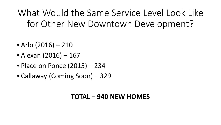What Would the Same Service Level Look Like for Other New Downtown Development?

- Arlo (2016) 210
- Alexan (2016) 167
- Place on Ponce (2015) 234
- Callaway (Coming Soon) 329

#### **TOTAL – 940 NEW HOMES**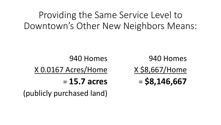# Providing the Same Service Level to Downtown's Other New Neighbors Means:

940 Homes X 0.0167 Acres/Home = **15.7 acres** 940 Homes X \$8,667/Home = **\$8,146,667**

(publicly purchased land)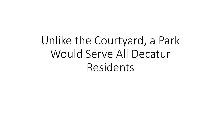Unlike the Courtyard, a Park Would Serve All Decatur Residents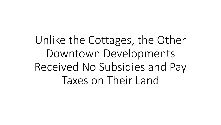Unlike the Cottages, the Other Downtown Developments Received No Subsidies and Pay Taxes on Their Land